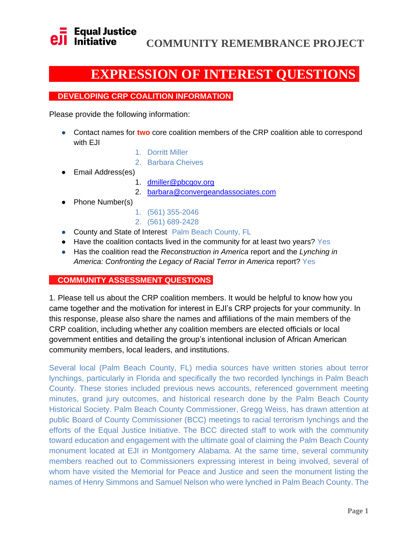

### **EXPRESSION OF INTEREST QUESTIONS.**

### **DEVELOPING CRP COALITION INFORMATION.**

Please provide the following information:

- Contact names for **two** core coalition members of the CRP coalition able to correspond with EJI
	- 1. Dorritt Miller
	- 2. Barbara Cheives
- Email Address(es)
	- 1. [dmiller@pbcgov.org](mailto:dmiller@pbcgov.org)
	- 2. [barbara@convergeandassociates.com](mailto:barbara@convergeandassociates.com)
- Phone Number(s)
- 1. (561) 355-2046
- 2. (561) 689-2428
- County and State of Interest Palm Beach County, FL
- Have the coalition contacts lived in the community for at least two years? Yes
- Has the coalition read th[e](https://eji.org/reports/reconstruction-in-america-overview/) *[Reconstruction in America](https://eji.org/reports/reconstruction-in-america-overview/)* [report](https://eji.org/reports/reconstruction-in-america-overview/) and th[e](https://eji.org/reports/lynching-in-america/) *[Lynching in](https://eji.org/reports/lynching-in-america/)  [America: Confronting the Legacy of Racial Terror in America](https://eji.org/reports/lynching-in-america/)* [report?](https://eji.org/reports/lynching-in-america/) Yes

### **COMMUNITY ASSESSMENT QUESTIONS.**

1. Please tell us about the CRP coalition members. It would be helpful to know how you came together and the motivation for interest in EJI's CRP projects for your community. In this response, please also share the names and affiliations of the main members of the CRP coalition, including whether any coalition members are elected officials or local government entities and detailing the group's intentional inclusion of African American community members, local leaders, and institutions.

Several local (Palm Beach County, FL) media sources have written stories about terror lynchings, particularly in Florida and specifically the two recorded lynchings in Palm Beach County. These stories included previous news accounts, referenced government meeting minutes, grand jury outcomes, and historical research done by the Palm Beach County Historical Society. Palm Beach County Commissioner, Gregg Weiss, has drawn attention at public Board of County Commissioner (BCC) meetings to racial terrorism lynchings and the efforts of the Equal Justice Initiative. The BCC directed staff to work with the community toward education and engagement with the ultimate goal of claiming the Palm Beach County monument located at EJI in Montgomery Alabama. At the same time, several community members reached out to Commissioners expressing interest in being involved, several of whom have visited the Memorial for Peace and Justice and seen the monument listing the names of Henry Simmons and Samuel Nelson who were lynched in Palm Beach County. The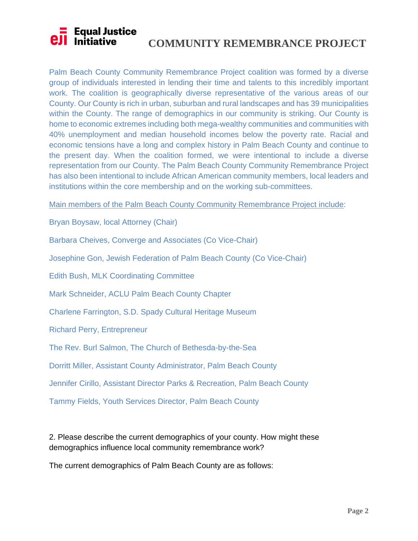### **COMMUNITY REMEMBRANCE PROJECT**<br> **COMMUNITY REMEMBRANCE PROJECT**

Palm Beach County Community Remembrance Project coalition was formed by a diverse group of individuals interested in lending their time and talents to this incredibly important work. The coalition is geographically diverse representative of the various areas of our County. Our County is rich in urban, suburban and rural landscapes and has 39 municipalities within the County. The range of demographics in our community is striking. Our County is home to economic extremes including both mega-wealthy communities and communities with 40% unemployment and median household incomes below the poverty rate. Racial and economic tensions have a long and complex history in Palm Beach County and continue to the present day. When the coalition formed, we were intentional to include a diverse representation from our County. The Palm Beach County Community Remembrance Project has also been intentional to include African American community members, local leaders and institutions within the core membership and on the working sub-committees.

Main members of the Palm Beach County Community Remembrance Project include:

Bryan Boysaw, local Attorney (Chair)

Barbara Cheives, Converge and Associates (Co Vice-Chair)

Josephine Gon, Jewish Federation of Palm Beach County (Co Vice-Chair)

Edith Bush, MLK Coordinating Committee

Mark Schneider, ACLU Palm Beach County Chapter

Charlene Farrington, S.D. Spady Cultural Heritage Museum

Richard Perry, Entrepreneur

The Rev. Burl Salmon, The Church of Bethesda-by-the-Sea

Dorritt Miller, Assistant County Administrator, Palm Beach County

Jennifer Cirillo, Assistant Director Parks & Recreation, Palm Beach County

Tammy Fields, Youth Services Director, Palm Beach County

2. Please describe the current demographics of your county. How might these demographics influence local community remembrance work?

The current demographics of Palm Beach County are as follows: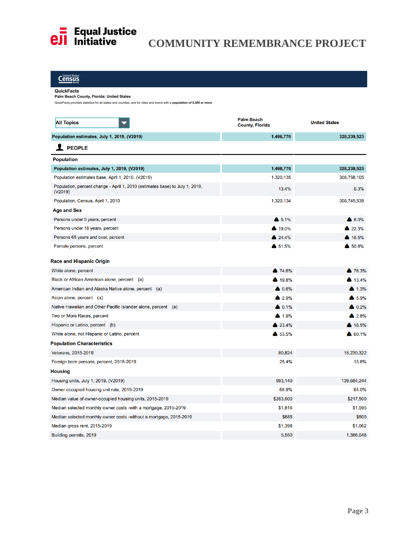

# **COMMUNITY REMEMBRANCE PROJECT**<br> **COMMUNITY REMEMBRANCE PROJECT**

### **Census**

#### QuickFacts

#### Palm Beach County, Florida; United States

QuickFacts provides statistics for all states and counties, and for cities and towns with a population of 5,000 or more.

| <b>All Topics</b>                                                                       | <b>Palm Beach</b><br><b>County, Florida</b> | <b>United States</b> |
|-----------------------------------------------------------------------------------------|---------------------------------------------|----------------------|
| Population estimates, July 1, 2019, (V2019)                                             | 1,496,770                                   | 328,239,523          |
| <b>X</b> PEOPLE                                                                         |                                             |                      |
| <b>Population</b>                                                                       |                                             |                      |
| Population estimates, July 1, 2019, (V2019)                                             | 1,496,770                                   | 328,239,523          |
| Population estimates base, April 1, 2010, (V2019)                                       | 1,320,135                                   | 308,758,105          |
| Population, percent change - April 1, 2010 (estimates base) to July 1, 2019,<br>(V2019) | 13.4%                                       | 6.3%                 |
| Population, Census, April 1, 2010                                                       | 1,320,134                                   | 308,745,538          |
| Age and Sex                                                                             |                                             |                      |
| Persons under 5 years, percent                                                          | $\triangle$ 5.1%                            | $\bullet$ 6.0%       |
| Persons under 18 years, percent                                                         | ▲ 19.0%                                     | 22.3%                |
| Persons 65 years and over, percent                                                      | 24.4%                                       | 4 16.5%              |
| Female persons, percent                                                                 | $$51.5\%$                                   | \$ 50.8%             |
| <b>Race and Hispanic Origin</b>                                                         |                                             |                      |
| White alone, percent                                                                    | <b>A</b> 74.6%                              | <b>A</b> 76.3%       |
| Black or African American alone, percent (a)                                            | <b>4</b> 19.8%                              | 43.4%                |
| American Indian and Alaska Native alone, percent (a)                                    | $\triangle$ 0.6%                            | 4.3%                 |
| Asian alone, percent (a)                                                                | $\bullet$ 2.9%                              | 45.9%                |
| Native Hawaiian and Other Pacific Islander alone, percent (a)                           | $\triangle$ 0.1%                            | $\bullet$ 0.2%       |
| Two or More Races, percent                                                              | 4.9%                                        | 2.8%                 |
| Hispanic or Latino, percent (b)                                                         | ▲ 23.4%                                     | ▲ 18.5%              |
| White alone, not Hispanic or Latino, percent                                            | 6 53.5%                                     | 60.1%                |
| <b>Population Characteristics</b>                                                       |                                             |                      |
| Veterans, 2015-2019                                                                     | 80,824                                      | 18,230,322           |
| Foreign born persons, percent, 2015-2019                                                | 25.4%                                       | 13.6%                |
| Housing                                                                                 |                                             |                      |
| Housing units, July 1, 2019, (V2019)                                                    | 693,140                                     | 139,684,244          |
| Owner-occupied housing unit rate, 2015-2019                                             | 68.9%                                       | 64.0%                |
| Median value of owner-occupied housing units, 2015-2019                                 | \$283,600                                   | \$217,500            |
| Median selected monthly owner costs - with a mortgage, 2015-2019                        | \$1,816                                     | \$1,595              |
| Median selected monthly owner costs -without a mortgage, 2015-2019                      | \$685                                       | \$500                |
| Median gross rent, 2015-2019                                                            | \$1,398                                     | \$1,062              |
| Building permits, 2019                                                                  | 5,550                                       | 1,386,048            |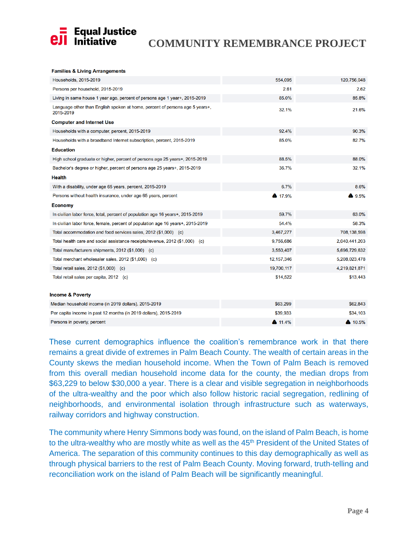

#### **Families & Living Arrangements**

| Households, 2015-2019                                                                     | 554,095      | 120,756,048   |
|-------------------------------------------------------------------------------------------|--------------|---------------|
| Persons per household, 2015-2019                                                          | 2.61         | 2.62          |
| Living in same house 1 year ago, percent of persons age 1 year+, 2015-2019                | 85.0%        | 85.8%         |
| Language other than English spoken at home, percent of persons age 5 years+,<br>2015-2019 | 32.1%        | 21.6%         |
| <b>Computer and Internet Use</b>                                                          |              |               |
| Households with a computer, percent, 2015-2019                                            | 92.4%        | 90.3%         |
| Households with a broadband Internet subscription, percent, 2015-2019                     | 85.0%        | 82.7%         |
| <b>Education</b>                                                                          |              |               |
| High school graduate or higher, percent of persons age 25 years+, 2015-2019               | 88.5%        | 88.0%         |
| Bachelor's degree or higher, percent of persons age 25 years+, 2015-2019                  | 36.7%        | 32.1%         |
| <b>Health</b>                                                                             |              |               |
| With a disability, under age 65 years, percent, 2015-2019                                 | 6.7%         | 8.6%          |
| Persons without health insurance, under age 65 years, percent                             | ▲ 17.9%      | 49.5%         |
| <b>Economy</b>                                                                            |              |               |
| In civilian labor force, total, percent of population age 16 years+, 2015-2019            | 59.7%        | 63.0%         |
| In civilian labor force, female, percent of population age 16 years +, 2015-2019          | 54.4%        | 58.3%         |
| Total accommodation and food services sales, 2012 (\$1,000) (c)                           | 3,467,277    | 708,138,598   |
| Total health care and social assistance receipts/revenue, 2012 (\$1,000) (c)              | 9,756,686    | 2,040,441,203 |
| Total manufacturers shipments, 2012 (\$1,000) (c)                                         | 3,550,407    | 5,696,729,632 |
| Total merchant wholesaler sales, 2012 (\$1,000) (c)                                       | 12, 157, 346 | 5,208,023,478 |
| Total retail sales, 2012 (\$1,000) (c)                                                    | 19,700,117   | 4,219,821,871 |
| Total retail sales per capita, 2012 (c)                                                   | \$14,522     | \$13,443      |
|                                                                                           |              |               |
| <b>Income &amp; Poverty</b>                                                               |              |               |
| Median household income (in 2019 dollars), 2015-2019                                      | \$63,299     | \$62,843      |
|                                                                                           |              | \$34,103      |
| Per capita income in past 12 months (in 2019 dollars), 2015-2019                          | \$39,933     |               |

These current demographics influence the coalition's remembrance work in that there remains a great divide of extremes in Palm Beach County. The wealth of certain areas in the County skews the median household income. When the Town of Palm Beach is removed from this overall median household income data for the county, the median drops from \$63,229 to below \$30,000 a year. There is a clear and visible segregation in neighborhoods of the ultra-wealthy and the poor which also follow historic racial segregation, redlining of neighborhoods, and environmental isolation through infrastructure such as waterways, railway corridors and highway construction.

The community where Henry Simmons body was found, on the island of Palm Beach, is home to the ultra-wealthy who are mostly white as well as the 45<sup>th</sup> President of the United States of America. The separation of this community continues to this day demographically as well as through physical barriers to the rest of Palm Beach County. Moving forward, truth-telling and reconciliation work on the island of Palm Beach will be significantly meaningful.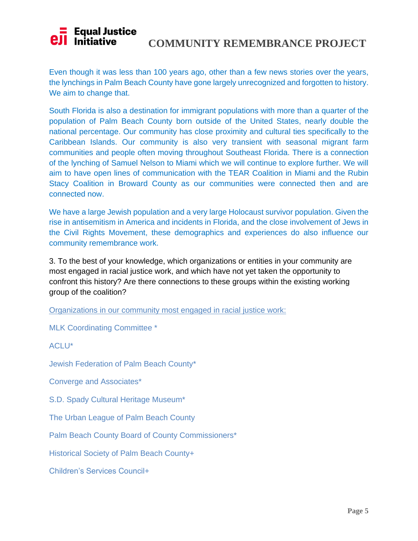# **COMMUNITY REMEMBRANCE PROJECT**

Even though it was less than 100 years ago, other than a few news stories over the years, the lynchings in Palm Beach County have gone largely unrecognized and forgotten to history. We aim to change that.

South Florida is also a destination for immigrant populations with more than a quarter of the population of Palm Beach County born outside of the United States, nearly double the national percentage. Our community has close proximity and cultural ties specifically to the Caribbean Islands. Our community is also very transient with seasonal migrant farm communities and people often moving throughout Southeast Florida. There is a connection of the lynching of Samuel Nelson to Miami which we will continue to explore further. We will aim to have open lines of communication with the TEAR Coalition in Miami and the Rubin Stacy Coalition in Broward County as our communities were connected then and are connected now.

We have a large Jewish population and a very large Holocaust survivor population. Given the rise in antisemitism in America and incidents in Florida, and the close involvement of Jews in the Civil Rights Movement, these demographics and experiences do also influence our community remembrance work.

3. To the best of your knowledge, which organizations or entities in your community are most engaged in racial justice work, and which have not yet taken the opportunity to confront this history? Are there connections to these groups within the existing working group of the coalition?

Organizations in our community most engaged in racial justice work:

MLK Coordinating Committee \*

ACLU\*

Jewish Federation of Palm Beach County\*

Converge and Associates\*

S.D. Spady Cultural Heritage Museum\*

The Urban League of Palm Beach County

Palm Beach County Board of County Commissioners\*

Historical Society of Palm Beach County+

Children's Services Council+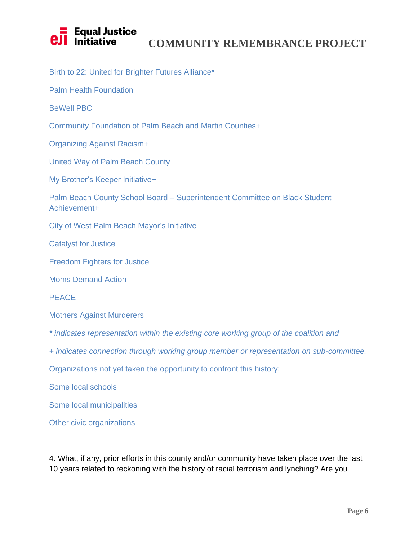### **COMMUNITY REMEMBRANCE PROJECT<br>Initiative to a COMMUNITY REMEMBRANCE PROJECT**

Birth to 22: United for Brighter Futures Alliance\*

Palm Health Foundation

BeWell PBC

Community Foundation of Palm Beach and Martin Counties+

Organizing Against Racism+

United Way of Palm Beach County

My Brother's Keeper Initiative+

Palm Beach County School Board – Superintendent Committee on Black Student Achievement+

City of West Palm Beach Mayor's Initiative

Catalyst for Justice

Freedom Fighters for Justice

Moms Demand Action

PEACE

Mothers Against Murderers

*\* indicates representation within the existing core working group of the coalition and* 

*+ indicates connection through working group member or representation on sub-committee.* 

Organizations not yet taken the opportunity to confront this history:

Some local schools

Some local municipalities

Other civic organizations

4. What, if any, prior efforts in this county and/or community have taken place over the last 10 years related to reckoning with the history of racial terrorism and lynching? Are you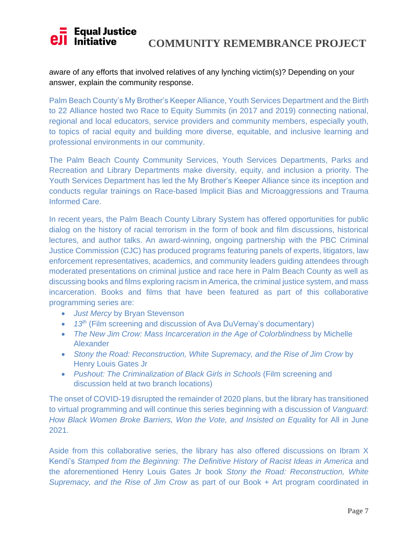#### **Equal Justice**  $\prod$  initiative **COMMUNITY REMEMBRANCE PROJECT**

aware of any efforts that involved relatives of any lynching victim(s)? Depending on your answer, explain the community response.

Palm Beach County's My Brother's Keeper Alliance, Youth Services Department and the Birth to 22 Alliance hosted two Race to Equity Summits (in 2017 and 2019) connecting national, regional and local educators, service providers and community members, especially youth, to topics of racial equity and building more diverse, equitable, and inclusive learning and professional environments in our community.

The Palm Beach County Community Services, Youth Services Departments, Parks and Recreation and Library Departments make diversity, equity, and inclusion a priority. The Youth Services Department has led the My Brother's Keeper Alliance since its inception and conducts regular trainings on Race-based Implicit Bias and Microaggressions and Trauma Informed Care.

In recent years, the Palm Beach County Library System has offered opportunities for public dialog on the history of racial terrorism in the form of book and film discussions, historical lectures, and author talks. An award-winning, ongoing partnership with the PBC Criminal Justice Commission (CJC) has produced programs featuring panels of experts, litigators, law enforcement representatives, academics, and community leaders guiding attendees through moderated presentations on criminal justice and race here in Palm Beach County as well as discussing books and films exploring racism in America, the criminal justice system, and mass incarceration. Books and films that have been featured as part of this collaborative programming series are:

- *Just Mercy* by Bryan Stevenson
- 13<sup>th</sup> (Film screening and discussion of Ava DuVernay's documentary)
- *The New Jim Crow: Mass Incarceration in the Age of Colorblindness* by Michelle Alexander
- *Stony the Road: Reconstruction, White Supremacy, and the Rise of Jim Crow* by Henry Louis Gates Jr
- *Pushout: The Criminalization of Black Girls in Schools* (Film screening and discussion held at two branch locations)

The onset of COVID-19 disrupted the remainder of 2020 plans, but the library has transitioned to virtual programming and will continue this series beginning with a discussion of *Vanguard: How Black Women Broke Barriers, Won the Vote, and Insisted on Equ*ality for All in June 2021.

Aside from this collaborative series, the library has also offered discussions on Ibram X Kendi's *Stamped from the Beginning: The Definitive History of Racist Ideas in America and* the aforementioned Henry Louis Gates Jr book *Stony the Road: Reconstruction, White Supremacy, and the Rise of Jim Crow* as part of our Book + Art program coordinated in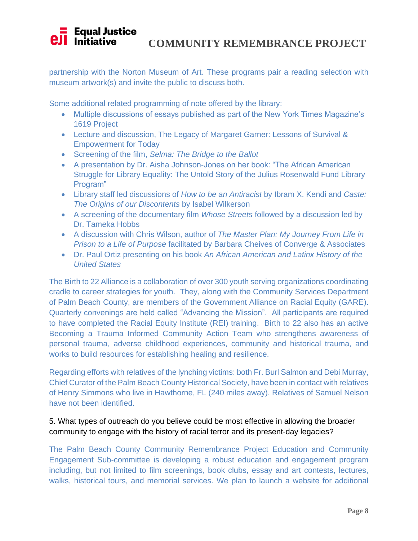#### **Equal Justice Il** Initiative **COMMUNITY REMEMBRANCE PROJECT**

partnership with the Norton Museum of Art. These programs pair a reading selection with museum artwork(s) and invite the public to discuss both.

Some additional related programming of note offered by the library:

- Multiple discussions of essays published as part of the New York Times Magazine's 1619 Project
- Lecture and discussion, The Legacy of Margaret Garner: Lessons of Survival & Empowerment for Today
- Screening of the film, *Selma: The Bridge to the Ballot*
- A presentation by Dr. Aisha Johnson-Jones on her book: "The African American Struggle for Library Equality: The Untold Story of the Julius Rosenwald Fund Library Program"
- Library staff led discussions of *How to be an Antiracist* by Ibram X. Kendi and *Caste: The Origins of our Discontents* by Isabel Wilkerson
- A screening of the documentary film *Whose Streets* followed by a discussion led by Dr. Tameka Hobbs
- A discussion with Chris Wilson, author of *The Master Plan: My Journey From Life in Prison to a Life of Purpose* facilitated by Barbara Cheives of Converge & Associates
- Dr. Paul Ortiz presenting on his book *An African American and Latinx History of the United States*

The Birth to 22 Alliance is a collaboration of over 300 youth serving organizations coordinating cradle to career strategies for youth. They, along with the Community Services Department of Palm Beach County, are members of the Government Alliance on Racial Equity (GARE). Quarterly convenings are held called "Advancing the Mission". All participants are required to have completed the Racial Equity Institute (REI) training. Birth to 22 also has an active Becoming a Trauma Informed Community Action Team who strengthens awareness of personal trauma, adverse childhood experiences, community and historical trauma, and works to build resources for establishing healing and resilience.

Regarding efforts with relatives of the lynching victims: both Fr. Burl Salmon and Debi Murray, Chief Curator of the Palm Beach County Historical Society, have been in contact with relatives of Henry Simmons who live in Hawthorne, FL (240 miles away). Relatives of Samuel Nelson have not been identified.

### 5. What types of outreach do you believe could be most effective in allowing the broader community to engage with the history of racial terror and its present-day legacies?

The Palm Beach County Community Remembrance Project Education and Community Engagement Sub-committee is developing a robust education and engagement program including, but not limited to film screenings, book clubs, essay and art contests, lectures, walks, historical tours, and memorial services. We plan to launch a website for additional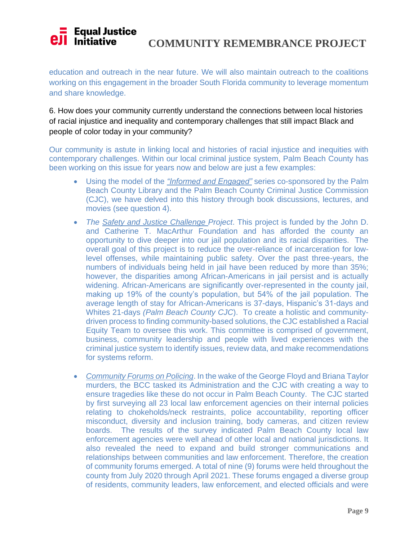#### **Equal Justice**  $eJ$  Initiative **COMMUNITY REMEMBRANCE PROJECT**

education and outreach in the near future. We will also maintain outreach to the coalitions working on this engagement in the broader South Florida community to leverage momentum and share knowledge.

6. How does your community currently understand the connections between local histories of racial injustice and inequality and contemporary challenges that still impact Black and people of color today in your community?

Our community is astute in linking local and histories of racial injustice and inequities with contemporary challenges. Within our local criminal justice system, Palm Beach County has been working on this issue for years now and below are just a few examples:

- Using the model of the *"Informed and Engaged"* series co-sponsored by the Palm Beach County Library and the Palm Beach County Criminal Justice Commission (CJC), we have delved into this history through book discussions, lectures, and movies (see question 4).
- *The Safety and Justice Challenge Project*. This project is funded by the John D. and Catherine T. MacArthur Foundation and has afforded the county an opportunity to dive deeper into our jail population and its racial disparities. The overall goal of this project is to reduce the over-reliance of incarceration for lowlevel offenses, while maintaining public safety. Over the past three-years, the numbers of individuals being held in jail have been reduced by more than 35%; however, the disparities among African-Americans in jail persist and is actually widening. African-Americans are significantly over-represented in the county jail, making up 19% of the county's population, but 54% of the jail population. The average length of stay for African-Americans is 37-days, Hispanic's 31-days and Whites 21-days *(Palm Beach County CJC*). To create a holistic and communitydriven process to finding community-based solutions, the CJC established a Racial Equity Team to oversee this work. This committee is comprised of government, business, community leadership and people with lived experiences with the criminal justice system to identify issues, review data, and make recommendations for systems reform.
- *Community Forums on Policing*. In the wake of the George Floyd and Briana Taylor murders, the BCC tasked its Administration and the CJC with creating a way to ensure tragedies like these do not occur in Palm Beach County. The CJC started by first surveying all 23 local law enforcement agencies on their internal policies relating to chokeholds/neck restraints, police accountability, reporting officer misconduct, diversity and inclusion training, body cameras, and citizen review boards. The results of the survey indicated Palm Beach County local law enforcement agencies were well ahead of other local and national jurisdictions. It also revealed the need to expand and build stronger communications and relationships between communities and law enforcement. Therefore, the creation of community forums emerged. A total of nine (9) forums were held throughout the county from July 2020 through April 2021. These forums engaged a diverse group of residents, community leaders, law enforcement, and elected officials and were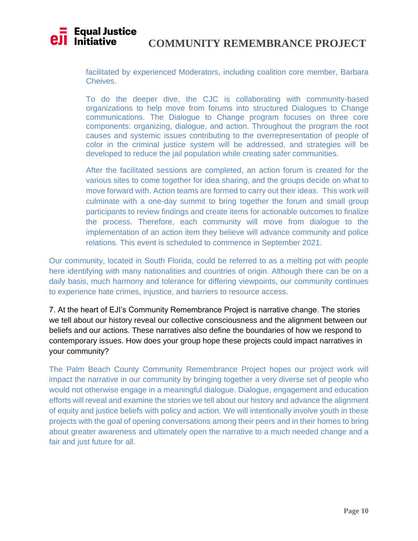#### **Equal Justice E** Equansus<br>I Initiative **COMMUNITY REMEMBRANCE PROJECT**

facilitated by experienced Moderators, including coalition core member, Barbara Cheives.

To do the deeper dive, the CJC is collaborating with community-based organizations to help move from forums into structured Dialogues to Change communications. The Dialogue to Change program focuses on three core components: organizing, dialogue, and action. Throughout the program the root causes and systemic issues contributing to the overrepresentation of people of color in the criminal justice system will be addressed, and strategies will be developed to reduce the jail population while creating safer communities.

After the facilitated sessions are completed, an action forum is created for the various sites to come together for idea sharing, and the groups decide on what to move forward with. Action teams are formed to carry out their ideas. This work will culminate with a one-day summit to bring together the forum and small group participants to review findings and create items for actionable outcomes to finalize the process. Therefore, each community will move from dialogue to the implementation of an action item they believe will advance community and police relations. This event is scheduled to commence in September 2021.

Our community, located in South Florida, could be referred to as a melting pot with people here identifying with many nationalities and countries of origin. Although there can be on a daily basis, much harmony and tolerance for differing viewpoints, our community continues to experience hate crimes, injustice, and barriers to resource access.

7. At the heart of EJI's Community Remembrance Project is narrative change. The stories we tell about our history reveal our collective consciousness and the alignment between our beliefs and our actions. These narratives also define the boundaries of how we respond to contemporary issues. How does your group hope these projects could impact narratives in your community?

The Palm Beach County Community Remembrance Project hopes our project work will impact the narrative in our community by bringing together a very diverse set of people who would not otherwise engage in a meaningful dialogue. Dialogue, engagement and education efforts will reveal and examine the stories we tell about our history and advance the alignment of equity and justice beliefs with policy and action. We will intentionally involve youth in these projects with the goal of opening conversations among their peers and in their homes to bring about greater awareness and ultimately open the narrative to a much needed change and a fair and just future for all.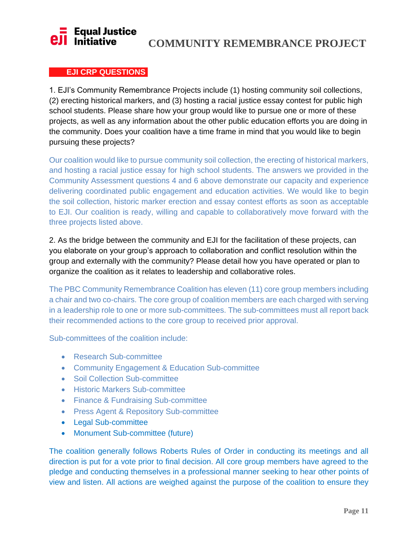### **Equal Justice**  $\overline{\mathbf{I}}$  Initiative

### **COMMUNITY REMEMBRANCE PROJECT**

### **EJI CRP QUESTIONS.**

1. EJI's Community Remembrance Projects include (1) hosting community soil collections, (2) erecting historical markers, and (3) hosting a racial justice essay contest for public high school students. Please share how your group would like to pursue one or more of these projects, as well as any information about the other public education efforts you are doing in the community. Does your coalition have a time frame in mind that you would like to begin pursuing these projects?

Our coalition would like to pursue community soil collection, the erecting of historical markers, and hosting a racial justice essay for high school students. The answers we provided in the Community Assessment questions 4 and 6 above demonstrate our capacity and experience delivering coordinated public engagement and education activities. We would like to begin the soil collection, historic marker erection and essay contest efforts as soon as acceptable to EJI. Our coalition is ready, willing and capable to collaboratively move forward with the three projects listed above.

2. As the bridge between the community and EJI for the facilitation of these projects, can you elaborate on your group's approach to collaboration and conflict resolution within the group and externally with the community? Please detail how you have operated or plan to organize the coalition as it relates to leadership and collaborative roles.

The PBC Community Remembrance Coalition has eleven (11) core group members including a chair and two co-chairs. The core group of coalition members are each charged with serving in a leadership role to one or more sub-committees. The sub-committees must all report back their recommended actions to the core group to received prior approval.

Sub-committees of the coalition include:

- Research Sub-committee
- Community Engagement & Education Sub-committee
- Soil Collection Sub-committee
- Historic Markers Sub-committee
- Finance & Fundraising Sub-committee
- Press Agent & Repository Sub-committee
- Legal Sub-committee
- Monument Sub-committee (future)

The coalition generally follows Roberts Rules of Order in conducting its meetings and all direction is put for a vote prior to final decision. All core group members have agreed to the pledge and conducting themselves in a professional manner seeking to hear other points of view and listen. All actions are weighed against the purpose of the coalition to ensure they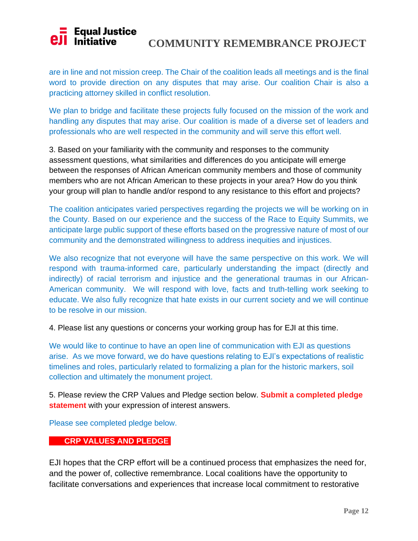# **COMMUNITY REMEMBRANCE PROJECT<br>Initiative to a COMMUNITY REMEMBRANCE PROJECT**

are in line and not mission creep. The Chair of the coalition leads all meetings and is the final word to provide direction on any disputes that may arise. Our coalition Chair is also a practicing attorney skilled in conflict resolution.

We plan to bridge and facilitate these projects fully focused on the mission of the work and handling any disputes that may arise. Our coalition is made of a diverse set of leaders and professionals who are well respected in the community and will serve this effort well.

3. Based on your familiarity with the community and responses to the community assessment questions, what similarities and differences do you anticipate will emerge between the responses of African American community members and those of community members who are not African American to these projects in your area? How do you think your group will plan to handle and/or respond to any resistance to this effort and projects?

The coalition anticipates varied perspectives regarding the projects we will be working on in the County. Based on our experience and the success of the Race to Equity Summits, we anticipate large public support of these efforts based on the progressive nature of most of our community and the demonstrated willingness to address inequities and injustices.

We also recognize that not everyone will have the same perspective on this work. We will respond with trauma-informed care, particularly understanding the impact (directly and indirectly) of racial terrorism and injustice and the generational traumas in our African-American community. We will respond with love, facts and truth-telling work seeking to educate. We also fully recognize that hate exists in our current society and we will continue to be resolve in our mission.

4. Please list any questions or concerns your working group has for EJI at this time.

We would like to continue to have an open line of communication with EJI as questions arise. As we move forward, we do have questions relating to EJI's expectations of realistic timelines and roles, particularly related to formalizing a plan for the historic markers, soil collection and ultimately the monument project.

5. Please review the CRP Values and Pledge section below. **Submit a completed pledge statement** with your expression of interest answers.

Please see completed pledge below.

### **CRP VALUES AND PLEDGE.**

EJI hopes that the CRP effort will be a continued process that emphasizes the need for, and the power of, collective remembrance. Local coalitions have the opportunity to facilitate conversations and experiences that increase local commitment to restorative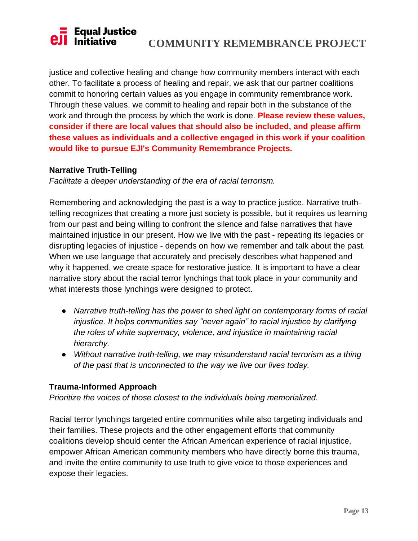justice and collective healing and change how community members interact with each other. To facilitate a process of healing and repair, we ask that our partner coalitions commit to honoring certain values as you engage in community remembrance work. Through these values, we commit to healing and repair both in the substance of the work and through the process by which the work is done. **Please review these values, consider if there are local values that should also be included, and please affirm these values as individuals and a collective engaged in this work if your coalition would like to pursue EJI's Community Remembrance Projects.**

### **Narrative Truth-Telling**

*Facilitate a deeper understanding of the era of racial terrorism.*

Remembering and acknowledging the past is a way to practice justice. Narrative truthtelling recognizes that creating a more just society is possible, but it requires us learning from our past and being willing to confront the silence and false narratives that have maintained injustice in our present. How we live with the past - repeating its legacies or disrupting legacies of injustice - depends on how we remember and talk about the past. When we use language that accurately and precisely describes what happened and why it happened, we create space for restorative justice. It is important to have a clear narrative story about the racial terror lynchings that took place in your community and what interests those lynchings were designed to protect.

- *Narrative truth-telling has the power to shed light on contemporary forms of racial injustice. It helps communities say "never again" to racial injustice by clarifying the roles of white supremacy, violence, and injustice in maintaining racial hierarchy.*
- *Without narrative truth-telling, we may misunderstand racial terrorism as a thing of the past that is unconnected to the way we live our lives today.*

### **Trauma-Informed Approach**

*Prioritize the voices of those closest to the individuals being memorialized.*

Racial terror lynchings targeted entire communities while also targeting individuals and their families. These projects and the other engagement efforts that community coalitions develop should center the African American experience of racial injustice, empower African American community members who have directly borne this trauma, and invite the entire community to use truth to give voice to those experiences and expose their legacies.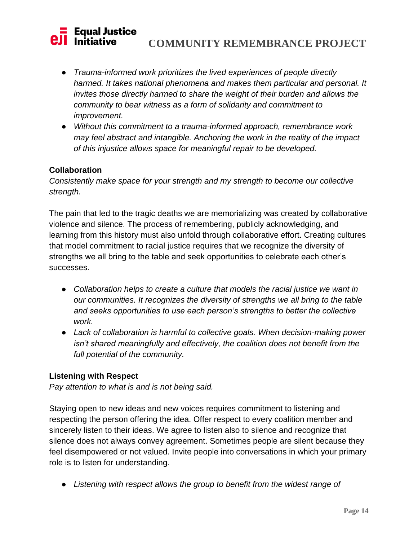# **Figual Justice<br>I Initiative COMMUNITY REMEMBRANCE PROJECT**

- *Trauma-informed work prioritizes the lived experiences of people directly harmed. It takes national phenomena and makes them particular and personal. It invites those directly harmed to share the weight of their burden and allows the community to bear witness as a form of solidarity and commitment to improvement.*
- *Without this commitment to a trauma-informed approach, remembrance work may feel abstract and intangible. Anchoring the work in the reality of the impact of this injustice allows space for meaningful repair to be developed.*

### **Collaboration**

*Consistently make space for your strength and my strength to become our collective strength.*

The pain that led to the tragic deaths we are memorializing was created by collaborative violence and silence. The process of remembering, publicly acknowledging, and learning from this history must also unfold through collaborative effort. Creating cultures that model commitment to racial justice requires that we recognize the diversity of strengths we all bring to the table and seek opportunities to celebrate each other's successes.

- *Collaboration helps to create a culture that models the racial justice we want in our communities. It recognizes the diversity of strengths we all bring to the table and seeks opportunities to use each person's strengths to better the collective work.*
- *Lack of collaboration is harmful to collective goals. When decision-making power isn't shared meaningfully and effectively, the coalition does not benefit from the full potential of the community.*

### **Listening with Respect**

*Pay attention to what is and is not being said.*

Staying open to new ideas and new voices requires commitment to listening and respecting the person offering the idea. Offer respect to every coalition member and sincerely listen to their ideas. We agree to listen also to silence and recognize that silence does not always convey agreement. Sometimes people are silent because they feel disempowered or not valued. Invite people into conversations in which your primary role is to listen for understanding.

● *Listening with respect allows the group to benefit from the widest range of*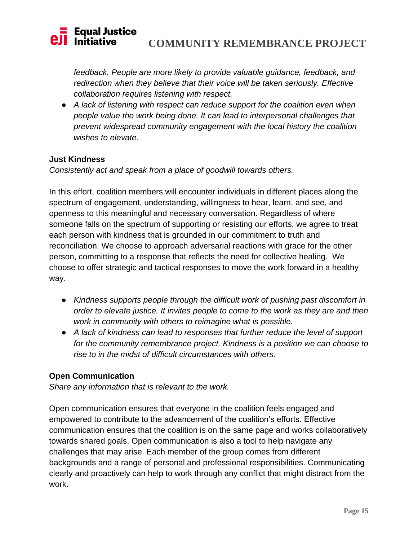# **COMMUNITY REMEMBRANCE PROJECT**

*feedback. People are more likely to provide valuable guidance, feedback, and redirection when they believe that their voice will be taken seriously. Effective collaboration requires listening with respect.*

● *A lack of listening with respect can reduce support for the coalition even when people value the work being done. It can lead to interpersonal challenges that prevent widespread community engagement with the local history the coalition wishes to elevate.*

### **Just Kindness**

*Consistently act and speak from a place of goodwill towards others.*

In this effort, coalition members will encounter individuals in different places along the spectrum of engagement, understanding, willingness to hear, learn, and see, and openness to this meaningful and necessary conversation. Regardless of where someone falls on the spectrum of supporting or resisting our efforts, we agree to treat each person with kindness that is grounded in our commitment to truth and reconciliation. We choose to approach adversarial reactions with grace for the other person, committing to a response that reflects the need for collective healing. We choose to offer strategic and tactical responses to move the work forward in a healthy way.

- *Kindness supports people through the difficult work of pushing past discomfort in order to elevate justice. It invites people to come to the work as they are and then work in community with others to reimagine what is possible.*
- *A lack of kindness can lead to responses that further reduce the level of support for the community remembrance project. Kindness is a position we can choose to rise to in the midst of difficult circumstances with others.*

### **Open Communication**

*Share any information that is relevant to the work.*

Open communication ensures that everyone in the coalition feels engaged and empowered to contribute to the advancement of the coalition's efforts. Effective communication ensures that the coalition is on the same page and works collaboratively towards shared goals. Open communication is also a tool to help navigate any challenges that may arise. Each member of the group comes from different backgrounds and a range of personal and professional responsibilities. Communicating clearly and proactively can help to work through any conflict that might distract from the work.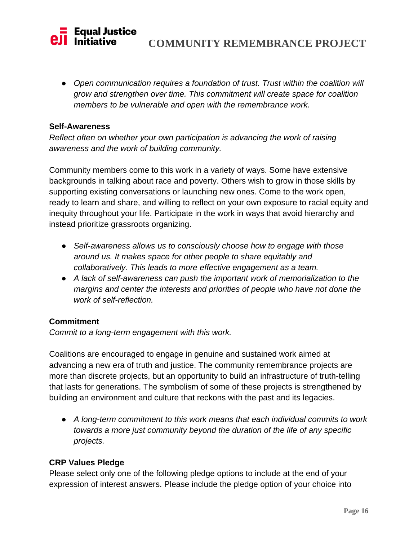# **COMMUNITY REMEMBRANCE PROJECT**

● *Open communication requires a foundation of trust. Trust within the coalition will grow and strengthen over time. This commitment will create space for coalition members to be vulnerable and open with the remembrance work.*

### **Self-Awareness**

*Reflect often on whether your own participation is advancing the work of raising awareness and the work of building community.*

Community members come to this work in a variety of ways. Some have extensive backgrounds in talking about race and poverty. Others wish to grow in those skills by supporting existing conversations or launching new ones. Come to the work open, ready to learn and share, and willing to reflect on your own exposure to racial equity and inequity throughout your life. Participate in the work in ways that avoid hierarchy and instead prioritize grassroots organizing.

- *Self-awareness allows us to consciously choose how to engage with those around us. It makes space for other people to share equitably and collaboratively. This leads to more effective engagement as a team.*
- *A lack of self-awareness can push the important work of memorialization to the margins and center the interests and priorities of people who have not done the work of self-reflection.*

### **Commitment**

*Commit to a long-term engagement with this work.*

Coalitions are encouraged to engage in genuine and sustained work aimed at advancing a new era of truth and justice. The community remembrance projects are more than discrete projects, but an opportunity to build an infrastructure of truth-telling that lasts for generations. The symbolism of some of these projects is strengthened by building an environment and culture that reckons with the past and its legacies.

● *A long-term commitment to this work means that each individual commits to work towards a more just community beyond the duration of the life of any specific projects.*

### **CRP Values Pledge**

Please select only one of the following pledge options to include at the end of your expression of interest answers. Please include the pledge option of your choice into